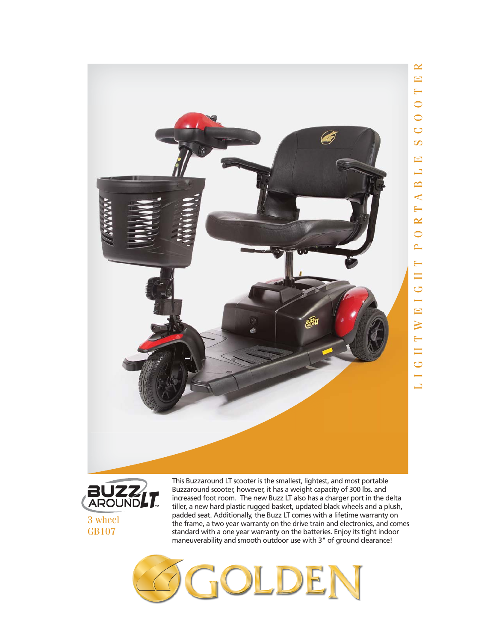

3 wheel GB107

tiller, a new hard plastic rugged basket, updated black wheels and a plush, padded seat. Additionally, the Buzz LT comes with a lifetime warranty on the frame, a two year warranty on the drive train and electronics, and comes standard with a one year warranty on the batteries. Enjoy its tight indoor maneuverability and smooth outdoor use with 3" of ground clearance!